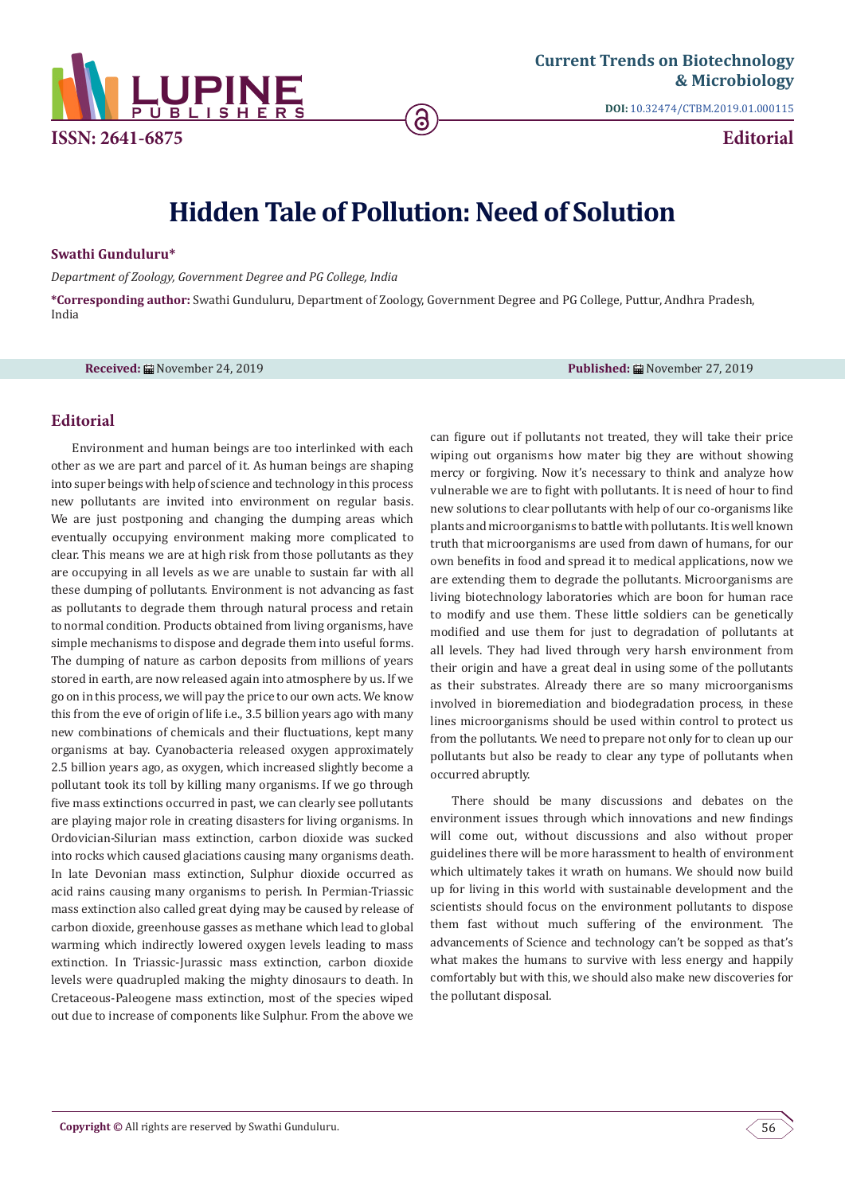

**DOI:** [10.32474/CTBM.2019.01.00011](http://dx.doi.org/10.32474/CTBM.2019.01.000115)5

**Editorial**

# **Hidden Tale of Pollution: Need of Solution**

ခြ

#### **Swathi Gunduluru\***

*Department of Zoology, Government Degree and PG College, India*

**\*Corresponding author:** Swathi Gunduluru, Department of Zoology, Government Degree and PG College, Puttur, Andhra Pradesh, India

**Received:** November 24, 2019 **Published:** November 27, 2019

## **Editorial**

Environment and human beings are too interlinked with each other as we are part and parcel of it. As human beings are shaping into super beings with help of science and technology in this process new pollutants are invited into environment on regular basis. We are just postponing and changing the dumping areas which eventually occupying environment making more complicated to clear. This means we are at high risk from those pollutants as they are occupying in all levels as we are unable to sustain far with all these dumping of pollutants. Environment is not advancing as fast as pollutants to degrade them through natural process and retain to normal condition. Products obtained from living organisms, have simple mechanisms to dispose and degrade them into useful forms. The dumping of nature as carbon deposits from millions of years stored in earth, are now released again into atmosphere by us. If we go on in this process, we will pay the price to our own acts. We know this from the eve of origin of life i.e., 3.5 billion years ago with many new combinations of chemicals and their fluctuations, kept many organisms at bay. Cyanobacteria released oxygen approximately 2.5 billion years ago, as oxygen, which increased slightly become a pollutant took its toll by killing many organisms. If we go through five mass extinctions occurred in past, we can clearly see pollutants are playing major role in creating disasters for living organisms. In Ordovician-Silurian mass extinction, carbon dioxide was sucked into rocks which caused glaciations causing many organisms death. In late Devonian mass extinction, Sulphur dioxide occurred as acid rains causing many organisms to perish. In Permian-Triassic mass extinction also called great dying may be caused by release of carbon dioxide, greenhouse gasses as methane which lead to global warming which indirectly lowered oxygen levels leading to mass extinction. In Triassic-Jurassic mass extinction, carbon dioxide levels were quadrupled making the mighty dinosaurs to death. In Cretaceous-Paleogene mass extinction, most of the species wiped out due to increase of components like Sulphur. From the above we

can figure out if pollutants not treated, they will take their price wiping out organisms how mater big they are without showing mercy or forgiving. Now it's necessary to think and analyze how vulnerable we are to fight with pollutants. It is need of hour to find new solutions to clear pollutants with help of our co-organisms like plants and microorganisms to battle with pollutants. It is well known truth that microorganisms are used from dawn of humans, for our own benefits in food and spread it to medical applications, now we are extending them to degrade the pollutants. Microorganisms are living biotechnology laboratories which are boon for human race to modify and use them. These little soldiers can be genetically modified and use them for just to degradation of pollutants at all levels. They had lived through very harsh environment from their origin and have a great deal in using some of the pollutants as their substrates. Already there are so many microorganisms involved in bioremediation and biodegradation process, in these lines microorganisms should be used within control to protect us from the pollutants. We need to prepare not only for to clean up our pollutants but also be ready to clear any type of pollutants when occurred abruptly.

There should be many discussions and debates on the environment issues through which innovations and new findings will come out, without discussions and also without proper guidelines there will be more harassment to health of environment which ultimately takes it wrath on humans. We should now build up for living in this world with sustainable development and the scientists should focus on the environment pollutants to dispose them fast without much suffering of the environment. The advancements of Science and technology can't be sopped as that's what makes the humans to survive with less energy and happily comfortably but with this, we should also make new discoveries for the pollutant disposal.